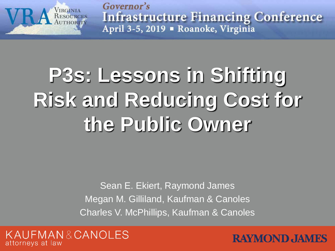

Governor's **Infrastructure Financing Conference** April 3-5, 2019 - Roanoke, Virginia

# **P3s: Lessons in Shifting Risk and Reducing Cost for the Public Owner**

Sean E. Ekiert, Raymond James Megan M. Gilliland, Kaufman & Canoles Charles V. McPhillips, Kaufman & Canoles



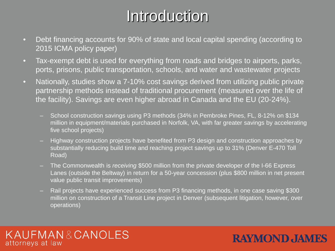## Introduction

- Debt financing accounts for 90% of state and local capital spending (according to 2015 ICMA policy paper)
- Tax-exempt debt is used for everything from roads and bridges to airports, parks, ports, prisons, public transportation, schools, and water and wastewater projects
- Nationally, studies show a 7-10% cost savings derived from utilizing public private partnership methods instead of traditional procurement (measured over the life of the facility). Savings are even higher abroad in Canada and the EU (20-24%).
	- School construction savings using P3 methods (34% in Pembroke Pines, FL, 8-12% on \$134 million in equipment/materials purchased in Norfolk, VA, with far greater savings by accelerating five school projects)
	- Highway construction projects have benefited from P3 design and construction approaches by substantially reducing build time and reaching project savings up to 31% (Denver E-470 Toll Road)
	- The Commonwealth is *receiving* \$500 million from the private developer of the I-66 Express Lanes (outside the Beltway) in return for a 50-year concession (plus \$800 million in net present value public transit improvements)
	- Rail projects have experienced success from P3 financing methods, in one case saving \$300 million on construction of a Transit Line project in Denver (subsequent litigation, however, over operations)

#### KAUFMAN&CANOLES attorneys at law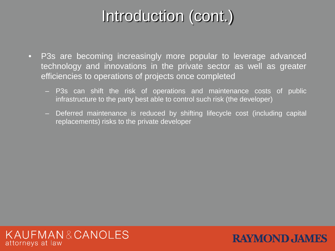## Introduction (cont.)

- P3s are becoming increasingly more popular to leverage advanced technology and innovations in the private sector as well as greater efficiencies to operations of projects once completed
	- P3s can shift the risk of operations and maintenance costs of public infrastructure to the party best able to control such risk (the developer)
	- Deferred maintenance is reduced by shifting lifecycle cost (including capital replacements) risks to the private developer

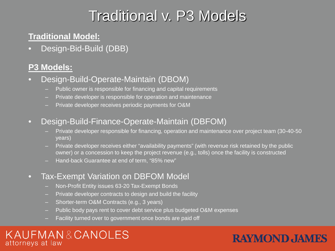## Traditional v. P3 Models

### **Traditional Model:**

• Design-Bid-Build (DBB)

#### **P3 Models:**

- Design-Build-Operate-Maintain (DBOM)
	- Public owner is responsible for financing and capital requirements
	- Private developer is responsible for operation and maintenance
	- Private developer receives periodic payments for O&M
- Design-Build-Finance-Operate-Maintain (DBFOM)
	- Private developer responsible for financing, operation and maintenance over project team (30-40-50 years)
	- Private developer receives either "availability payments" (with revenue risk retained by the public owner) or a concession to keep the project revenue (e.g., tolls) once the facility is constructed
	- Hand-back Guarantee at end of term, "85% new"
- Tax-Exempt Variation on DBFOM Model
	- Non-Profit Entity issues 63-20 Tax-Exempt Bonds
	- **Private developer contracts to design and build the facility**
	- Shorter-term O&M Contracts (e.g., 3 years)
	- Public body pays rent to cover debt service plus budgeted O&M expenses
	- Facility turned over to government once bonds are paid off

#### KAUFMAN&CANOLES attorneys at law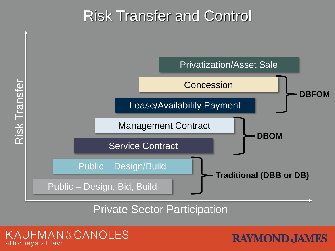## Risk Transfer and Control



Private Sector Participation

UFMAN&CANOLES attorneys at law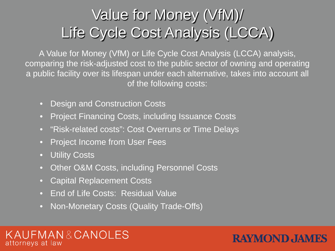## Value for Money (VfM)/ Life Cycle Cost Analysis (LCCA)

A Value for Money (VfM) or Life Cycle Cost Analysis (LCCA) analysis, comparing the risk-adjusted cost to the public sector of owning and operating a public facility over its lifespan under each alternative, takes into account all of the following costs:

- Design and Construction Costs
- **Project Financing Costs, including Issuance Costs**
- "Risk-related costs": Cost Overruns or Time Delays
- Project Income from User Fees
- Utility Costs
- Other O&M Costs, including Personnel Costs
- Capital Replacement Costs
- End of Life Costs: Residual Value
- Non-Monetary Costs (Quality Trade-Offs)

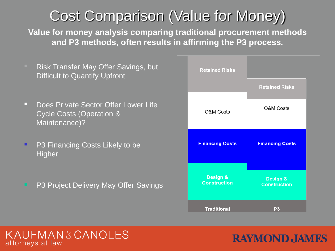## Cost Comparison (Value for Money)

**Value for money analysis comparing traditional procurement methods and P3 methods, often results in affirming the P3 process.** 

 Risk Transfer May Offer Savings, but **Retained Risks** Difficult to Quantify Upfront **Retained Risks Does Private Sector Offer Lower Life** O&M Costs O&M Costs Cycle Costs (Operation & Maintenance)? **Financing Costs Financing Costs P3 Financing Costs Likely to be Higher** Design & **Design & Construction**  P3 Project Delivery May Offer Savings **Construction** 

**Traditional** 

#### KAUFMAN&CANOLES attorneys at law

## **RAYMOND JAMES**

 $P3$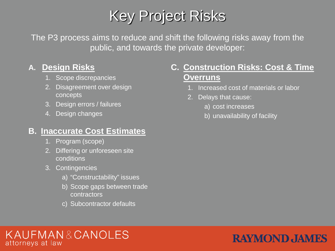## Key Project Risks

The P3 process aims to reduce and shift the following risks away from the public, and towards the private developer:

#### **A. Design Risks**

- 1. Scope discrepancies
- 2. Disagreement over design concepts
- 3. Design errors / failures
- 4. Design changes

#### **B. Inaccurate Cost Estimates**

- 1. Program (scope)
- 2. Differing or unforeseen site conditions
- 3. Contingencies
	- a) "Constructability" issues
	- b) Scope gaps between trade contractors
	- c) Subcontractor defaults

#### **C. Construction Risks: Cost & Time Overruns**

- 1. Increased cost of materials or labor
- 2. Delays that cause:
	- a) cost increases
	- b) unavailability of facility

#### KAUFMAN&CANOLES attorneys at law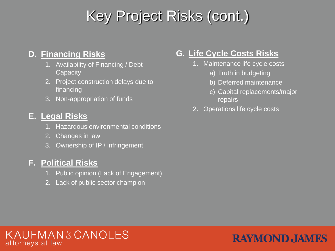## Key Project Risks (cont.)

#### **D. Financing Risks**

- 1. Availability of Financing / Debt **Capacity**
- 2. Project construction delays due to financing
- 3. Non-appropriation of funds

#### **E. Legal Risks**

- 1. Hazardous environmental conditions
- 2. Changes in law
- 3. Ownership of IP / infringement

#### **F. Political Risks**

- 1. Public opinion (Lack of Engagement)
- 2. Lack of public sector champion

### **G. Life Cycle Costs Risks**

- 1. Maintenance life cycle costs
	- a) Truth in budgeting
	- b) Deferred maintenance
	- c) Capital replacements/major repairs
- 2. Operations life cycle costs

#### KAUFMAN&CANOLES attorneys at law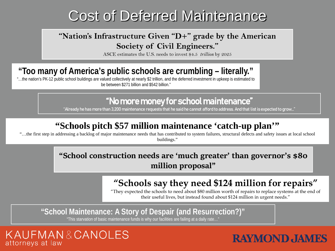## Cost of Deferred Maintenance

#### **"Nation's Infrastructure Given "D+" grade by the American Society of Civil Engineers."**

ASCE estimates the U.S. needs to invest \$4.5 *trillion* by 2025

### **"Too many of America's public schools are crumbling – literally."**

"…the nation's PK-12 public school buildings are valued collectively at nearly \$2 trillion, and the deferred investment in upkeep is estimated to be between \$271 billion and \$542 billion."

#### "No more money for school maintenance"

"Already he has more than 3,200 maintenance requests that he said he cannot afford to address. And that list is expected to grow…"

### **"Schools pitch \$57 million maintenance 'catch-up plan'"**

"…the first step in addressing a backlog of major maintenance needs that has contributed to system failures, structural defects and safety issues at local school buildings."

#### **"School construction needs are 'much greater' than governor's \$80 million proposal"**

### **"Schools say they need \$124 million for repairs"**

"They expected the schools to need about \$80 million worth of repairs to replace systems at the end of their useful lives, but instead found about \$124 million in urgent needs."

**"School Maintenance: A Story of Despair (and Resurrection?)"**

"This starvation of basic maintenance funds is why our facilities are failing at a daily rate…"

#### KAUFMAN&CANOLES attorneys at law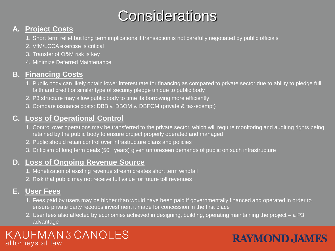## **Considerations**

#### **A. Project Costs**

- 1. Short term relief but long term implications if transaction is not carefully negotiated by public officials
- 2. VfM/LCCA exercise is critical
- 3. Transfer of O&M risk is key
- 4. Minimize Deferred Maintenance

#### **B. Financing Costs**

- 1. Public body can likely obtain lower interest rate for financing as compared to private sector due to ability to pledge full faith and credit or similar type of security pledge unique to public body
- 2. P3 structure may allow public body to time its borrowing more efficiently
- 3. Compare issuance costs: DBB v. DBOM v. DBFOM (private & tax-exempt)

#### **C. Loss of Operational Control**

- 1. Control over operations may be transferred to the private sector, which will require monitoring and auditing rights being retained by the public body to ensure project properly operated and managed
- 2. Public should retain control over infrastructure plans and policies
- 3. Criticism of long term deals (50+ years) given unforeseen demands of public on such infrastructure

#### **D. Loss of Ongoing Revenue Source**

- 1. Monetization of existing revenue stream creates short term windfall
- 2. Risk that public may not receive full value for future toll revenues

#### **E. User Fees**

- 1. Fees paid by users may be higher than would have been paid if governmentally financed and operated in order to ensure private party recoups investment it made for concession in the first place
- 2. User fees also affected by economies achieved in designing, building, operating maintaining the project a P3 advantage

#### KAUFMAN&CANOLES attorneys at law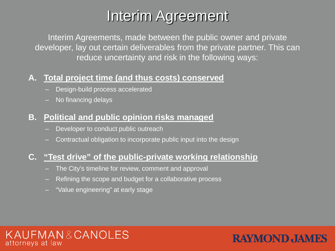## Interim Agreement

Interim Agreements, made between the public owner and private developer, lay out certain deliverables from the private partner. This can reduce uncertainty and risk in the following ways:

**RAYMOND JAMES** 

#### **A. Total project time (and thus costs) conserved**

- Design-build process accelerated
- No financing delays

#### **B. Political and public opinion risks managed**

- Developer to conduct public outreach
- Contractual obligation to incorporate public input into the design

#### **C. "Test drive" of the public-private working relationship**

- The City's timeline for review, comment and approval
- Refining the scope and budget for a collaborative process
- "Value engineering" at early stage

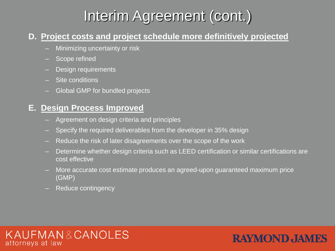## Interim Agreement (cont.)

#### **D. Project costs and project schedule more definitively projected**

- Minimizing uncertainty or risk
- Scope refined
- Design requirements
- Site conditions
- Global GMP for bundled projects

#### **E. Design Process Improved**

- Agreement on design criteria and principles
- Specify the required deliverables from the developer in 35% design
- Reduce the risk of later disagreements over the scope of the work
- Determine whether design criteria such as LEED certification or similar certifications are cost effective
- More accurate cost estimate produces an agreed-upon guaranteed maximum price (GMP)
- Reduce contingency



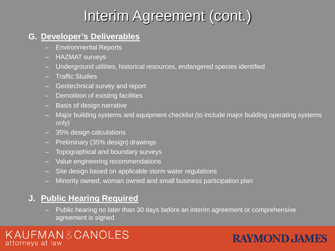## Interim Agreement (cont.)

#### **G. Developer's Deliverables**

- Environmental Reports
- HAZMAT surveys
- Underground utilities, historical resources, endangered species identified
- Traffic Studies
- Geotechnical survey and report
- Demolition of existing facilities
- Basis of design narrative
- Major building systems and equipment checklist (to include major building operating systems only)
- 35% design calculations
- Preliminary (35% design) drawings
- Topographical and boundary surveys
- Value engineering recommendations
- Site design based on applicable storm water regulations
- Minority owned, woman owned and small business participation plan

#### **J. Public Hearing Required**

– Public hearing no later than 30 days before an interim agreement or comprehensive agreement is signed

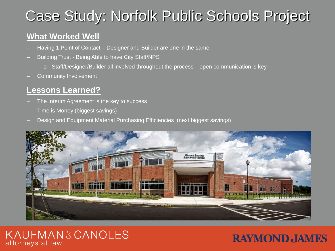## Case Study: Norfolk Public Schools Project

#### **What Worked Well**

- Having 1 Point of Contact Designer and Builder are one in the same
- Building Trust Being Able to have City Staff/NPS
	- o Staff/Designer/Builder all involved throughout the process open communication is key
- Community Involvement

#### **Lessons Learned?**

- The Interim Agreement is the key to success
- Time is Money (biggest savings)
- Design and Equipment Material Purchasing Efficiencies (next biggest savings)



#### KAUFMAN&CANOLES attorneys at law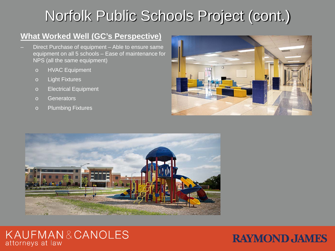## Norfolk Public Schools Project (cont.)

#### **What Worked Well (GC's Perspective)**

- Direct Purchase of equipment Able to ensure same equipment on all 5 schools – Ease of maintenance for NPS (all the same equipment)
	- o HVAC Equipment
	- o Light Fixtures
	- o Electrical Equipment
	- o Generators
	- o Plumbing Fixtures





#### KAUFMAN&CANOLES attorneys at law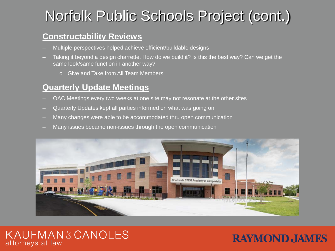## Norfolk Public Schools Project (cont.)

#### **Constructability Reviews**

- Multiple perspectives helped achieve efficient/buildable designs
- Taking it beyond a design charrette. How do we build it? Is this the best way? Can we get the same look/same function in another way?
	- o Give and Take from All Team Members

#### **Quarterly Update Meetings**

- OAC Meetings every two weeks at one site may not resonate at the other sites
- Quarterly Updates kept all parties informed on what was going on
- Many changes were able to be accommodated thru open communication
- Many issues became non-issues through the open communication



#### KAUFMAN&CANOLES attorneys at law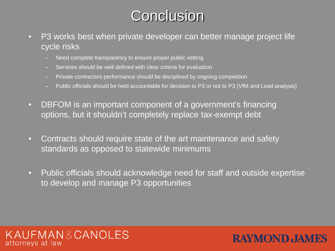## **Conclusion**

- P3 works best when private developer can better manage project life cycle risks
	- Need complete transparency to ensure proper public vetting
	- Services should be well defined with clear criteria for evaluation
	- Private contractors performance should be disciplined by ongoing competition
	- Public officials should be held accountable for decision to P3 or not to P3 (VfM and Lead analysis)
- DBFOM is an important component of a government's financing options, but it shouldn't completely replace tax-exempt debt
- Contracts should require state of the art maintenance and safety standards as opposed to statewide minimums
- Public officials should acknowledge need for staff and outside expertise to develop and manage P3 opportunities



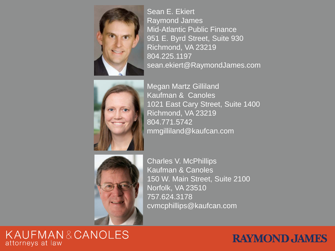

Sean E. Ekiert Raymond James Mid-Atlantic Public Finance 951 E. Byrd Street, Suite 930 Richmond, VA 23219 804.225.1197 sean.ekiert@RaymondJames.com



Megan Martz Gilliland Kaufman & Canoles 1021 East Cary Street, Suite 1400 Richmond, VA 23219 804.771.5742 mmgilliland@kaufcan.com



Charles V. McPhillips Kaufman & Canoles 150 W. Main Street, Suite 2100 Norfolk, VA 23510 757.624.3178 cvmcphillips@kaufcan.com

#### KAUFMAN&CANOLES attorneys at law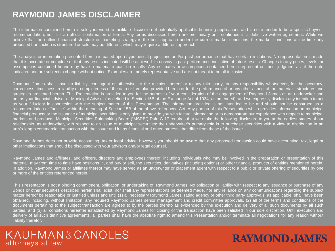#### **RAYMOND JAMES DISCLAIMER**

The information contained herein is solely intended to facilitate discussion of potentially applicable financing applications and is not intended to be a specific buy/sell recommendation, nor is it an official confirmation of terms. Any terms discussed herein are preliminary until confirmed in a definitive written agreement. While we believe that the outlined financial structure or marketing strategy is the best approach under the current market conditions, the market conditions at the time any proposed transaction is structured or sold may be different, which may require a different approach.

The analysis or information presented herein is based upon hypothetical projections and/or past performance that have certain limitations. No representation is made that it is accurate or complete or that any results indicated will be achieved. In no way is past performance indicative of future results. Changes to any prices, levels, or assumptions contained herein may have a material impact on results. Any estimates or assumptions contained herein represent our best judgment as of the date indicated and are subject to change without notice. Examples are merely representative and are not meant to be all-inclusive.

Raymond James shall have no liability, contingent or otherwise, to the recipient hereof or to any third party, or any responsibility whatsoever, for the accuracy, correctness, timeliness, reliability or completeness of the data or formulae provided herein or for the performance of or any other aspect of the materials, structures and strategies presented herein. This Presentation is provided to you for the purpose of your consideration of the engagement of Raymond James as an underwriter and not as your financial advisor or Municipal Advisor (as defined in Section 15B of the Exchange Act of 1934, as amended), and we expressly disclaim any intention to act as your fiduciary in connection with the subject matter of this Presentation. The information provided is not intended to be and should not be construed as a recommendation or "advice" within the meaning of Section 15B of the above-referenced Act. Any portion of this Presentation which provides information on municipal financial products or the issuance of municipal securities is only given to provide you with factual information or to demonstrate our experience with respect to municipal markets and products. Municipal Securities Rulemaking Board ("MSRB") Rule G-17 requires that we make the following disclosure to you at the earliest stages of our relationship, as underwriter, with respect to an issue of municipal securities: the underwriter's primary role is to purchase securities with a view to distribution in an arm's-length commercial transaction with the issuer and it has financial and other interests that differ from those of the issuer.

Raymond James does not provide accounting, tax or legal advice; however, you should be aware that any proposed transaction could have accounting, tax, legal or other implications that should be discussed with your advisors and/or legal counsel.

Raymond James and affiliates, and officers, directors and employees thereof, including individuals who may be involved in the preparation or presentation of this material, may from time to time have positions in, and buy or sell, the securities, derivatives (including options) or other financial products of entities mentioned herein. In addition, Raymond James or affiliates thereof may have served as an underwriter or placement agent with respect to a public or private offering of securities by one or more of the entities referenced herein.

This Presentation is not a binding commitment, obligation, or undertaking of Raymond James. No obligation or liability with respect to any issuance or purchase of any Bonds or other securities described herein shall exist, nor shall any representations be deemed made, nor any reliance on any communications regarding the subject matter hereof be reasonable or justified unless and until (1) all necessary Raymond James, rating agency or other third party approvals, as applicable, shall have been obtained, including, without limitation, any required Raymond James senior management and credit committee approvals, (2) all of the terms and conditions of the documents pertaining to the subject transaction are agreed to by the parties thereto as evidenced by the execution and delivery of all such documents by all such parties, and (3) all conditions hereafter established by Raymond James for closing of the transaction have been satisfied in our sole discretion. Until execution and delivery of all such definitive agreements, all parties shall have the absolute right to amend this Presentation and/or terminate all negotiations for any reason without liability therefor.

#### KAUFMAN&CANOLES attorneys at law